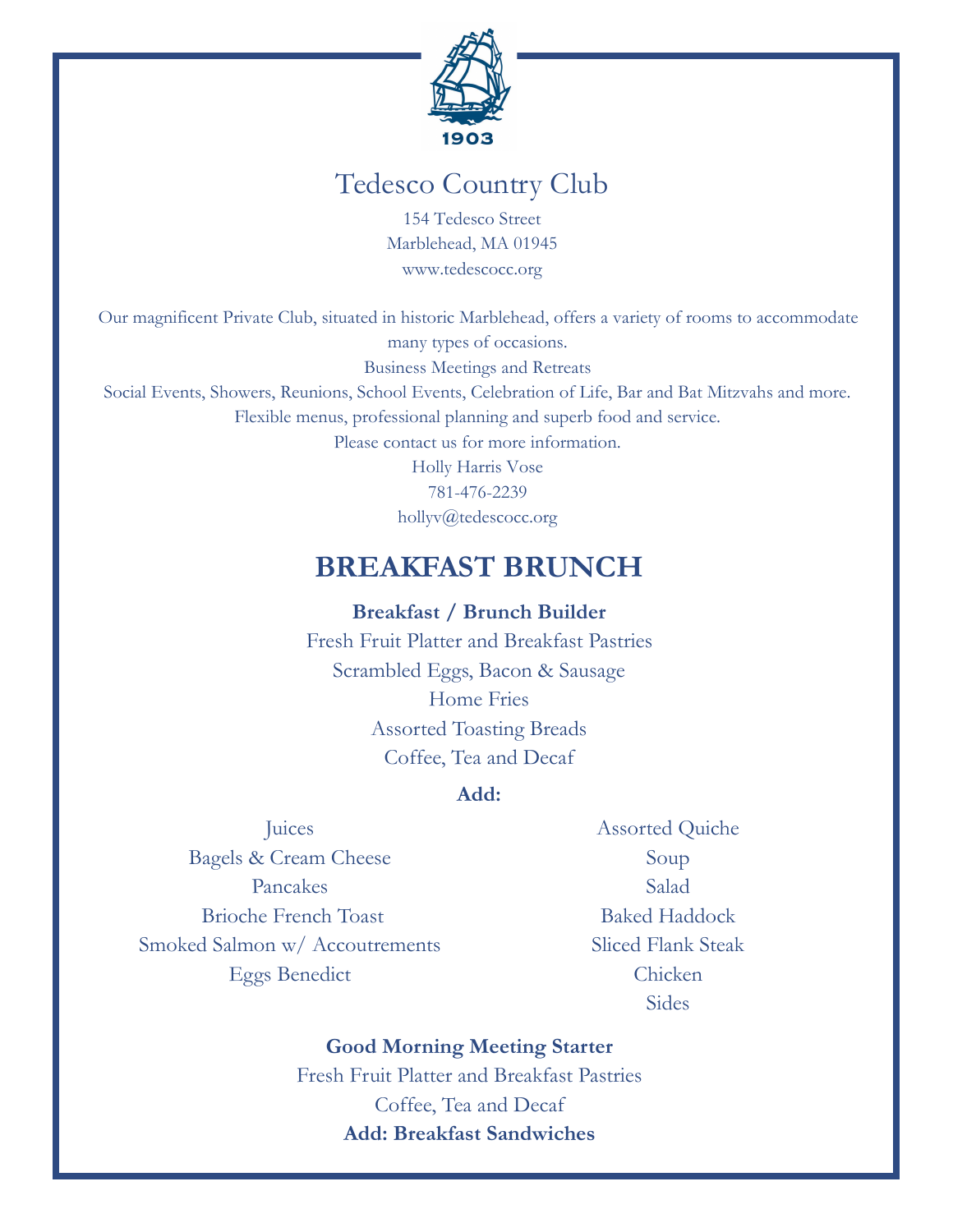

# Tedesco Country Club

154 Tedesco Street Marblehead, MA 01945 www.tedescocc.org

Our magnificent Private Club, situated in historic Marblehead, offers a variety of rooms to accommodate many types of occasions.

Business Meetings and Retreats

Social Events, Showers, Reunions, School Events, Celebration of Life, Bar and Bat Mitzvahs and more.

Flexible menus, professional planning and superb food and service.

Please contact us for more information.

Holly Harris Vose 781-476-2239 hollyv@tedescocc.org

# **BREAKFAST BRUNCH**

**Breakfast / Brunch Builder**

Fresh Fruit Platter and Breakfast Pastries Scrambled Eggs, Bacon & Sausage Home Fries Assorted Toasting Breads Coffee, Tea and Decaf

### **Add:**

**Juices** Bagels & Cream Cheese Pancakes Brioche French Toast Smoked Salmon w/ Accoutrements Eggs Benedict

Assorted Quiche Soup Salad Baked Haddock Sliced Flank Steak Chicken Sides

### **Good Morning Meeting Starter**

Fresh Fruit Platter and Breakfast Pastries Coffee, Tea and Decaf **Add: Breakfast Sandwiches**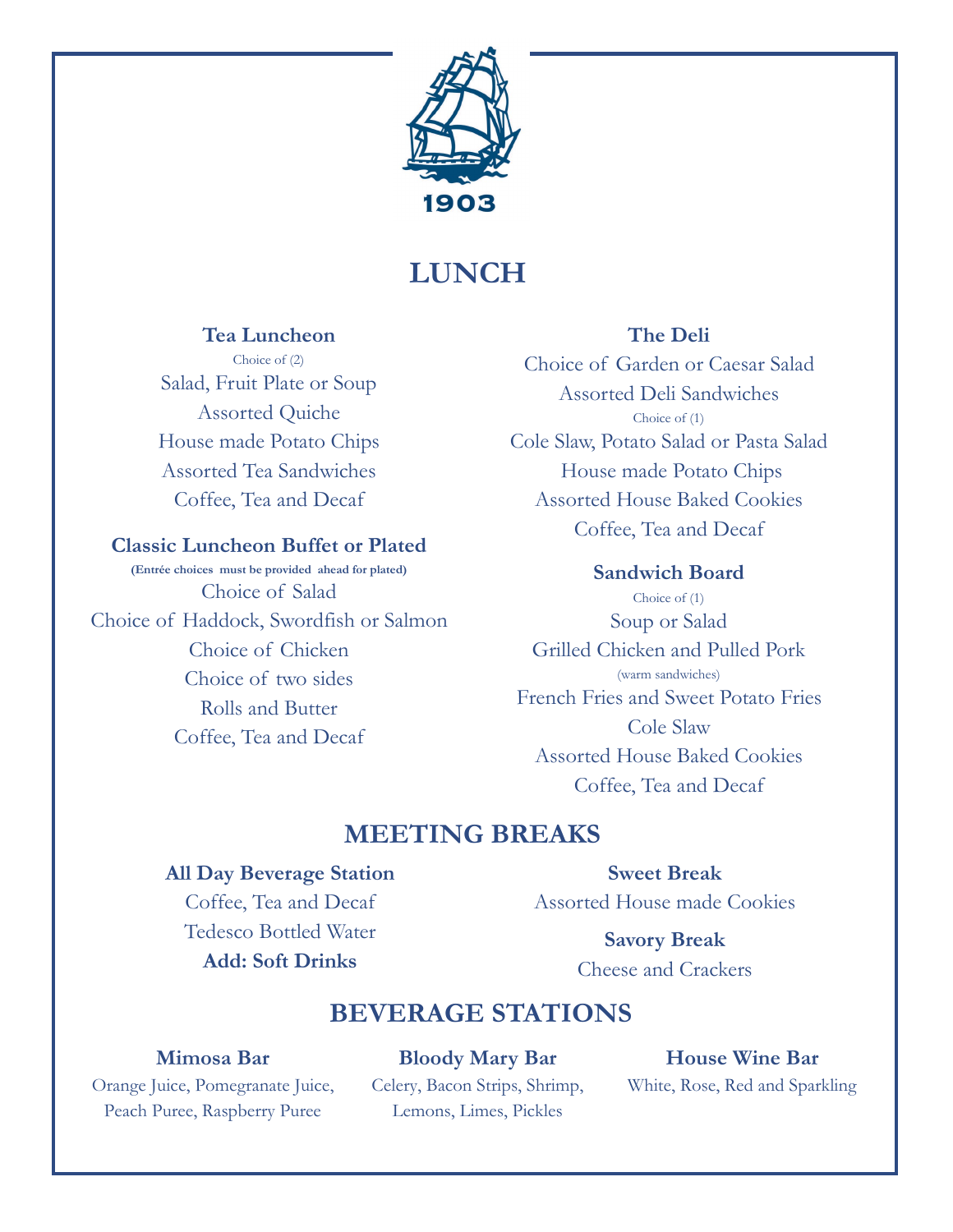

# **LUNCH**

### **Tea Luncheon**

Choice of (2) Salad, Fruit Plate or Soup Assorted Quiche House made Potato Chips Assorted Tea Sandwiches Coffee, Tea and Decaf

### **Classic Luncheon Buffet or Plated**

**(Entrée choices must be provided ahead for plated)** Choice of Salad Choice of Haddock, Swordfish or Salmon Choice of Chicken Choice of two sides Rolls and Butter Coffee, Tea and Decaf

### **The Deli**

Choice of Garden or Caesar Salad Assorted Deli Sandwiches Choice of (1) Cole Slaw, Potato Salad or Pasta Salad House made Potato Chips Assorted House Baked Cookies Coffee, Tea and Decaf

**Sandwich Board** Choice of (1) Soup or Salad Grilled Chicken and Pulled Pork (warm sandwiches) French Fries and Sweet Potato Fries Cole Slaw Assorted House Baked Cookies Coffee, Tea and Decaf

# **MEETING BREAKS**

#### **All Day Beverage Station**

Coffee, Tea and Decaf Tedesco Bottled Water **Add: Soft Drinks**

**Sweet Break** Assorted House made Cookies

> **Savory Break** Cheese and Crackers

# **BEVERAGE STATIONS**

#### **Mimosa Bar**

Orange Juice, Pomegranate Juice, Peach Puree, Raspberry Puree

**Bloody Mary Bar**  Celery, Bacon Strips, Shrimp, Lemons, Limes, Pickles

**House Wine Bar** White, Rose, Red and Sparkling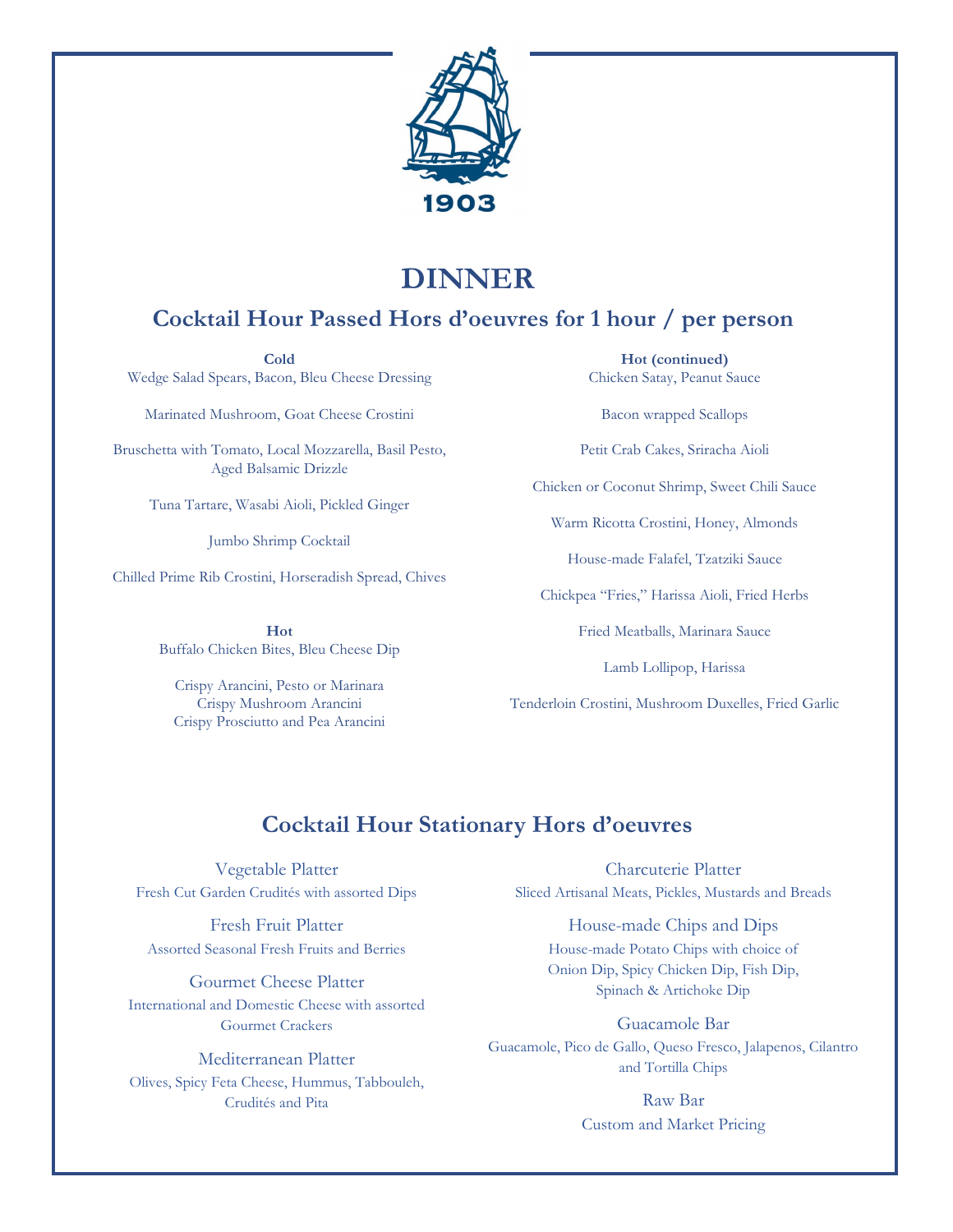

# **DINNER**

# **Cocktail Hour Passed Hors d'oeuvres for 1 hour / per person**

**Cold** Wedge Salad Spears, Bacon, Bleu Cheese Dressing

Marinated Mushroom, Goat Cheese Crostini

Bruschetta with Tomato, Local Mozzarella, Basil Pesto, Aged Balsamic Drizzle

Tuna Tartare, Wasabi Aioli, Pickled Ginger

Jumbo Shrimp Cocktail

Chilled Prime Rib Crostini, Horseradish Spread, Chives

**Hot** Buffalo Chicken Bites, Bleu Cheese Dip

Crispy Arancini, Pesto or Marinara Crispy Mushroom Arancini Crispy Prosciutto and Pea Arancini

**Hot (continued)** Chicken Satay, Peanut Sauce

Bacon wrapped Scallops

Petit Crab Cakes, Sriracha Aioli

Chicken or Coconut Shrimp, Sweet Chili Sauce

Warm Ricotta Crostini, Honey, Almonds

House-made Falafel, Tzatziki Sauce

Chickpea "Fries," Harissa Aioli, Fried Herbs

Fried Meatballs, Marinara Sauce

Lamb Lollipop, Harissa

Tenderloin Crostini, Mushroom Duxelles, Fried Garlic

### **Cocktail Hour Stationary Hors d'oeuvres**

Vegetable Platter Fresh Cut Garden Crudités with assorted Dips

Fresh Fruit Platter Assorted Seasonal Fresh Fruits and Berries

Gourmet Cheese Platter International and Domestic Cheese with assorted Gourmet Crackers

Mediterranean Platter Olives, Spicy Feta Cheese, Hummus, Tabbouleh, Crudités and Pita

Charcuterie Platter Sliced Artisanal Meats, Pickles, Mustards and Breads

> House-made Chips and Dips House-made Potato Chips with choice of Onion Dip, Spicy Chicken Dip, Fish Dip, Spinach & Artichoke Dip

Guacamole Bar Guacamole, Pico de Gallo, Queso Fresco, Jalapenos, Cilantro and Tortilla Chips

> Raw Bar Custom and Market Pricing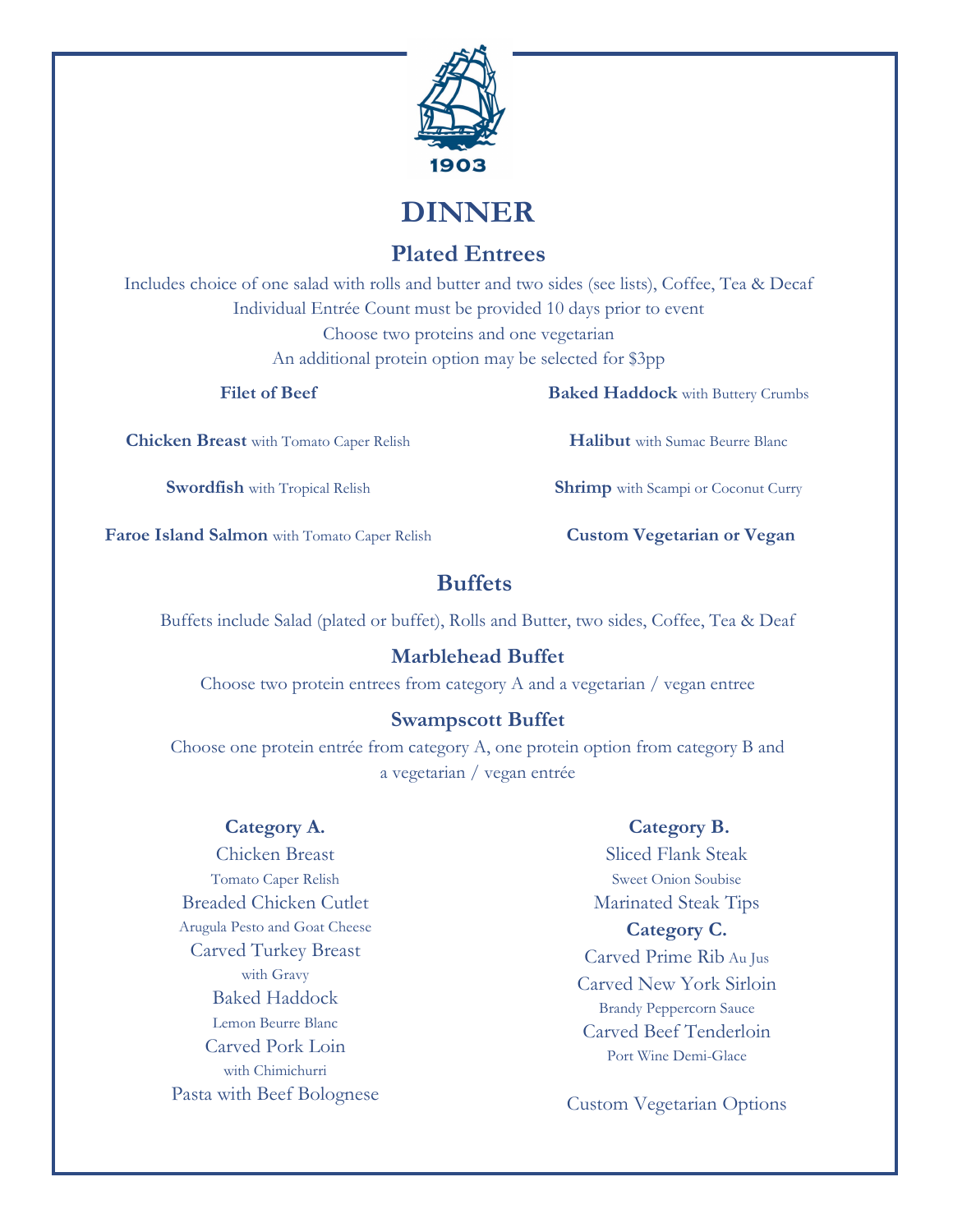

**DINNER**

## **Plated Entrees**

Includes choice of one salad with rolls and butter and two sides (see lists), Coffee, Tea & Decaf Individual Entrée Count must be provided 10 days prior to event Choose two proteins and one vegetarian An additional protein option may be selected for \$3pp

#### **Filet of Beef**

**Chicken Breast** with Tomato Caper Relish

**Swordfish** with Tropical Relish

**Faroe Island Salmon** with Tomato Caper Relish

### **Buffets**

Buffets include Salad (plated or buffet), Rolls and Butter, two sides, Coffee, Tea & Deaf

### **Marblehead Buffet**

Choose two protein entrees from category A and a vegetarian / vegan entree

#### **Swampscott Buffet**

Choose one protein entrée from category A, one protein option from category B and a vegetarian / vegan entrée

#### **Category A.**

Chicken Breast Tomato Caper Relish Breaded Chicken Cutlet Arugula Pesto and Goat Cheese Carved Turkey Breast with Gravy Baked Haddock Lemon Beurre Blanc Carved Pork Loin with Chimichurri Pasta with Beef Bolognese

#### **Category B.**

Sliced Flank Steak Sweet Onion Soubise Marinated Steak Tips **Category C.** Carved Prime Rib Au Jus Carved New York Sirloin Brandy Peppercorn Sauce Carved Beef Tenderloin Port Wine Demi-Glace

Custom Vegetarian Options

**Baked Haddock** with Buttery Crumbs

**Halibut** with Sumac Beurre Blanc

**Shrimp** with Scampi or Coconut Curry

**Custom Vegetarian or Vegan**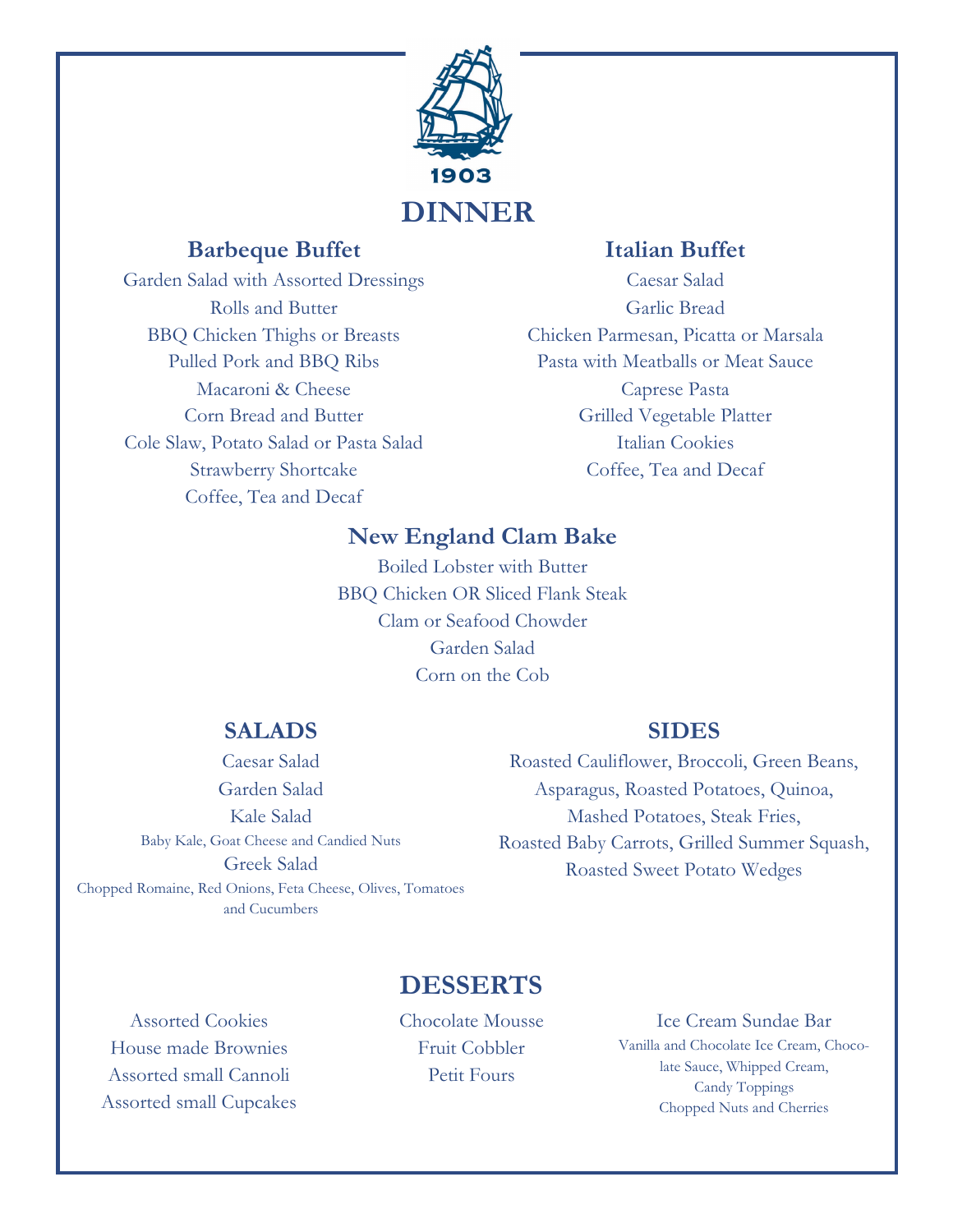

## **Barbeque Buffet**

Garden Salad with Assorted Dressings Rolls and Butter BBQ Chicken Thighs or Breasts Pulled Pork and BBQ Ribs Macaroni & Cheese Corn Bread and Butter Cole Slaw, Potato Salad or Pasta Salad Strawberry Shortcake Coffee, Tea and Decaf

## **Italian Buffet**

Caesar Salad Garlic Bread Chicken Parmesan, Picatta or Marsala Pasta with Meatballs or Meat Sauce Caprese Pasta Grilled Vegetable Platter Italian Cookies Coffee, Tea and Decaf

## **New England Clam Bake**

Boiled Lobster with Butter BBQ Chicken OR Sliced Flank Steak Clam or Seafood Chowder Garden Salad Corn on the Cob

### **SALADS**

Caesar Salad Garden Salad Kale Salad Baby Kale, Goat Cheese and Candied Nuts Greek Salad Chopped Romaine, Red Onions, Feta Cheese, Olives, Tomatoes and Cucumbers

### **SIDES**

Roasted Cauliflower, Broccoli, Green Beans, Asparagus, Roasted Potatoes, Quinoa, Mashed Potatoes, Steak Fries, Roasted Baby Carrots, Grilled Summer Squash, Roasted Sweet Potato Wedges

# **DESSERTS**

Assorted Cookies House made Brownies Assorted small Cannoli Assorted small Cupcakes Chocolate Mousse Fruit Cobbler Petit Fours

#### Ice Cream Sundae Bar

Vanilla and Chocolate Ice Cream, Chocolate Sauce, Whipped Cream, Candy Toppings Chopped Nuts and Cherries